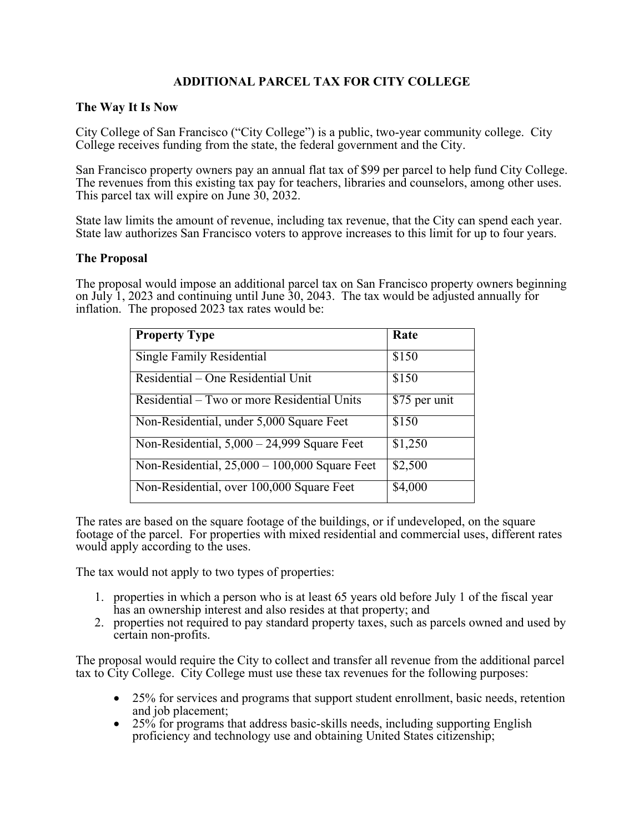## **ADDITIONAL PARCEL TAX FOR CITY COLLEGE**

## **The Way It Is Now**

City College of San Francisco ("City College") is a public, two-year community college. City College receives funding from the state, the federal government and the City.

San Francisco property owners pay an annual flat tax of \$99 per parcel to help fund City College. The revenues from this existing tax pay for teachers, libraries and counselors, among other uses. This parcel tax will expire on June 30, 2032.

State law limits the amount of revenue, including tax revenue, that the City can spend each year. State law authorizes San Francisco voters to approve increases to this limit for up to four years.

## **The Proposal**

The proposal would impose an additional parcel tax on San Francisco property owners beginning on July 1, 2023 and continuing until June 30, 2043. The tax would be adjusted annually for inflation. The proposed 2023 tax rates would be:

| <b>Property Type</b>                            | Rate          |
|-------------------------------------------------|---------------|
| Single Family Residential                       | \$150         |
| Residential – One Residential Unit              | \$150         |
| Residential – Two or more Residential Units     | \$75 per unit |
| Non-Residential, under 5,000 Square Feet        | \$150         |
| Non-Residential, $5,000 - 24,999$ Square Feet   | \$1,250       |
| Non-Residential, $25,000 - 100,000$ Square Feet | \$2,500       |
| Non-Residential, over 100,000 Square Feet       | \$4,000       |

The rates are based on the square footage of the buildings, or if undeveloped, on the square footage of the parcel. For properties with mixed residential and commercial uses, different rates would apply according to the uses.

The tax would not apply to two types of properties:

- 1. properties in which a person who is at least 65 years old before July 1 of the fiscal year has an ownership interest and also resides at that property; and
- 2. properties not required to pay standard property taxes, such as parcels owned and used by certain non-profits.

The proposal would require the City to collect and transfer all revenue from the additional parcel tax to City College. City College must use these tax revenues for the following purposes:

- 25% for services and programs that support student enrollment, basic needs, retention and job placement;
- $\bullet$  25% for programs that address basic-skills needs, including supporting English proficiency and technology use and obtaining United States citizenship;